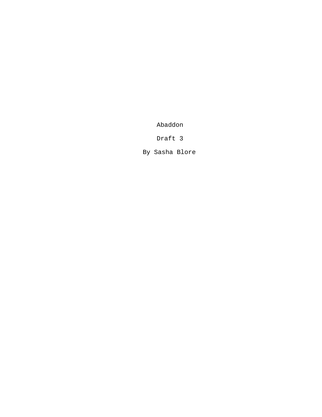Abaddon

Draft 3

By Sasha Blore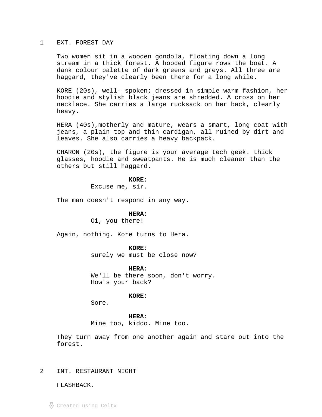### 1 EXT. FOREST DAY

Two women sit in a wooden gondola, floating down a long stream in a thick forest. A hooded figure rows the boat. A dank colour palette of dark greens and greys. All three are haggard, they've clearly been there for a long while.

KORE (20s), well- spoken; dressed in simple warm fashion, her hoodie and stylish black jeans are shredded. A cross on her necklace. She carries a large rucksack on her back, clearly heavy.

HERA (40s),motherly and mature, wears a smart, long coat with jeans, a plain top and thin cardigan, all ruined by dirt and leaves. She also carries a heavy backpack.

CHARON (20s), the figure is your average tech geek. thick glasses, hoodie and sweatpants. He is much cleaner than the others but still haggard.

### **KORE:**

Excuse me, sir.

The man doesn't respond in any way.

## **HERA:**

Oi, you there!

Again, nothing. Kore turns to Hera.

### **KORE:**

surely we must be close now?

# **HERA:**

We'll be there soon, don't worry. How's your back?

**KORE:**

Sore.

#### **HERA:**

Mine too, kiddo. Mine too.

They turn away from one another again and stare out into the forest.

# 2 INT. RESTAURANT NIGHT

FLASHBACK.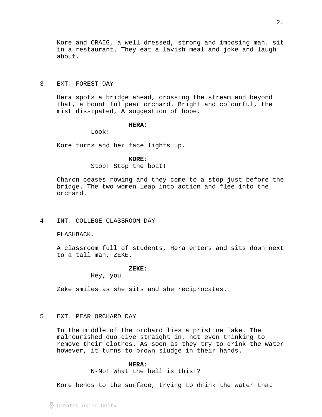# 3 EXT. FOREST DAY

about.

Hera spots a bridge ahead, crossing the stream and beyond that, a bountiful pear orchard. Bright and colourful, the mist dissipated, A suggestion of hope.

# **HERA:**

Look!

Kore turns and her face lights up.

# **KORE:**

Stop! Stop the boat!

Charon ceases rowing and they come to a stop just before the bridge. The two women leap into action and flee into the orchard.

# 4 INT. COLLEGE CLASSROOM DAY

FLASHBACK.

A classroom full of students, Hera enters and sits down next to a tall man, ZEKE.

### **ZEKE:**

Hey, you!

Zeke smiles as she sits and she reciprocates.

# 5 EXT. PEAR ORCHARD DAY

In the middle of the orchard lies a pristine lake. The malnourished duo dive straight in, not even thinking to remove their clothes. As soon as they try to drink the water however, it turns to brown sludge in their hands.

# **HERA:**

N-No! What the hell is this!?

Kore bends to the surface, trying to drink the water that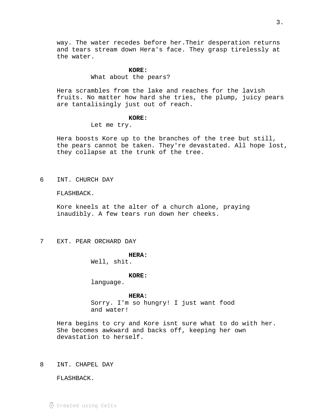way. The water recedes before her.Their desperation returns and tears stream down Hera's face. They grasp tirelessly at the water.

#### **KORE:**

What about the pears?

Hera scrambles from the lake and reaches for the lavish fruits. No matter how hard she tries, the plump, juicy pears are tantalisingly just out of reach.

# **KORE:**

Let me try.

Hera boosts Kore up to the branches of the tree but still, the pears cannot be taken. They're devastated. All hope lost, they collapse at the trunk of the tree.

6 INT. CHURCH DAY

FLASHBACK.

Kore kneels at the alter of a church alone, praying inaudibly. A few tears run down her cheeks.

7 EXT. PEAR ORCHARD DAY

#### **HERA:**

Well, shit.

# **KORE:**

language.

#### **HERA:**

Sorry. I'm so hungry! I just want food and water!

Hera begins to cry and Kore isnt sure what to do with her. She becomes awkward and backs off, keeping her own devastation to herself.

8 INT. CHAPEL DAY

FLASHBACK.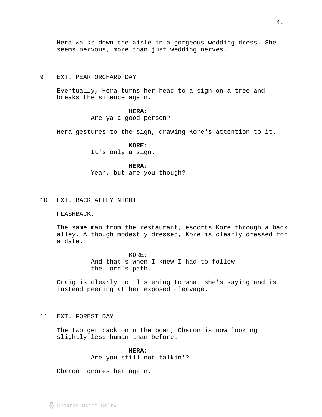Hera walks down the aisle in a gorgeous wedding dress. She seems nervous, more than just wedding nerves.

# 9 EXT. PEAR ORCHARD DAY

Eventually, Hera turns her head to a sign on a tree and breaks the silence again.

# **HERA:**

# Are ya a good person?

Hera gestures to the sign, drawing Kore's attention to it.

# **KORE:**

It's only a sign.

# **HERA:**

Yeah, but are you though?

# 10 EXT. BACK ALLEY NIGHT

## FLASHBACK.

The same man from the restaurant, escorts Kore through a back alley. Although modestly dressed, Kore is clearly dressed for a date.

> KORE: And that's when I knew I had to follow the Lord's path.

Craig is clearly not listening to what she's saying and is instead peering at her exposed cleavage.

### 11 EXT. FOREST DAY

The two get back onto the boat, Charon is now looking slightly less human than before.

# **HERA:**

Are you still not talkin'?

Charon ignores her again.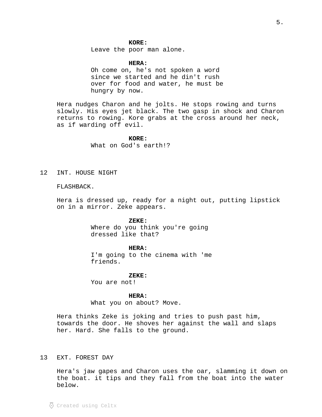# **KORE:**

Leave the poor man alone.

**HERA:**

Oh come on, he's not spoken a word since we started and he din't rush over for food and water, he must be hungry by now.

Hera nudges Charon and he jolts. He stops rowing and turns slowly. His eyes jet black. The two gasp in shock and Charon returns to rowing. Kore grabs at the cross around her neck, as if warding off evil.

**KORE:**

What on God's earth!?

12 INT. HOUSE NIGHT

# FLASHBACK.

Hera is dressed up, ready for a night out, putting lipstick on in a mirror. Zeke appears.

#### **ZEKE:**

Where do you think you're going dressed like that?

#### **HERA:**

I'm going to the cinema with 'me friends.

#### **ZEKE:**

You are not!

**HERA:**

What you on about? Move.

Hera thinks Zeke is joking and tries to push past him, towards the door. He shoves her against the wall and slaps her. Hard. She falls to the ground.

# 13 EXT. FOREST DAY

Hera's jaw gapes and Charon uses the oar, slamming it down on the boat. it tips and they fall from the boat into the water below.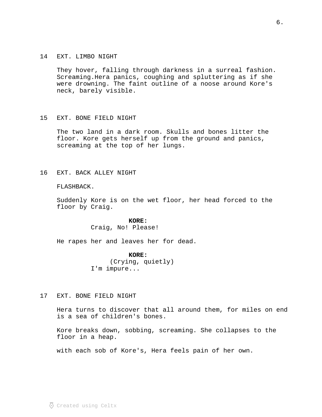### 14 EXT. LIMBO NIGHT

They hover, falling through darkness in a surreal fashion. Screaming.Hera panics, coughing and spluttering as if she were drowning. The faint outline of a noose around Kore's neck, barely visible.

### 15 EXT. BONE FIELD NIGHT

The two land in a dark room. Skulls and bones litter the floor. Kore gets herself up from the ground and panics, screaming at the top of her lungs.

# 16 EXT. BACK ALLEY NIGHT

# FLASHBACK.

Suddenly Kore is on the wet floor, her head forced to the floor by Craig.

## **KORE:**

Craig, No! Please!

He rapes her and leaves her for dead.

# **KORE:**

(Crying, quietly) I'm impure...

17 EXT. BONE FIELD NIGHT

Hera turns to discover that all around them, for miles on end is a sea of children's bones.

Kore breaks down, sobbing, screaming. She collapses to the floor in a heap.

with each sob of Kore's, Hera feels pain of her own.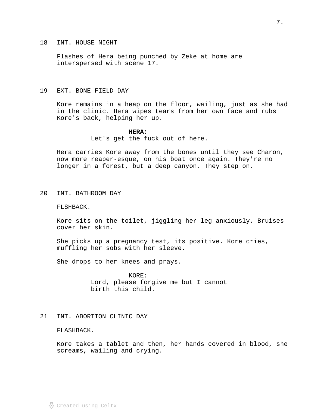### 18 INT. HOUSE NIGHT

Flashes of Hera being punched by Zeke at home are interspersed with scene 17.

# 19 EXT. BONE FIELD DAY

Kore remains in a heap on the floor, wailing, just as she had in the clinic. Hera wipes tears from her own face and rubs Kore's back, helping her up.

#### **HERA:**

Let's get the fuck out of here.

Hera carries Kore away from the bones until they see Charon, now more reaper-esque, on his boat once again. They're no longer in a forest, but a deep canyon. They step on.

20 INT. BATHROOM DAY

FLSHBACK.

Kore sits on the toilet, jiggling her leg anxiously. Bruises cover her skin.

She picks up a pregnancy test, its positive. Kore cries, muffling her sobs with her sleeve.

She drops to her knees and prays.

KORE: Lord, please forgive me but I cannot birth this child.

# 21 INT. ABORTION CLINIC DAY

FLASHBACK.

Kore takes a tablet and then, her hands covered in blood, she screams, wailing and crying.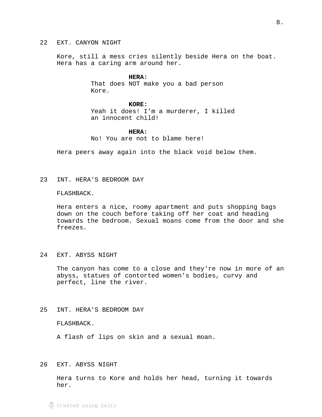### 22 EXT. CANYON NIGHT

Kore, still a mess cries silently beside Hera on the boat. Hera has a caring arm around her.

#### **HERA:**

That does NOT make you a bad person Kore.

# **KORE:**

Yeah it does! I'm a murderer, I killed an innocent child!

#### **HERA:**

No! You are not to blame here!

Hera peers away again into the black void below them.

23 INT. HERA'S BEDROOM DAY

# FLASHBACK.

Hera enters a nice, roomy apartment and puts shopping bags down on the couch before taking off her coat and heading towards the bedroom. Sexual moans come from the door and she freezes.

# 24 EXT. ABYSS NIGHT

The canyon has come to a close and they're now in more of an abyss, statues of contorted women's bodies, curvy and perfect, line the river.

# 25 INT. HERA'S BEDROOM DAY

FLASHBACK.

A flash of lips on skin and a sexual moan.

# 26 EXT. ABYSS NIGHT

Hera turns to Kore and holds her head, turning it towards her.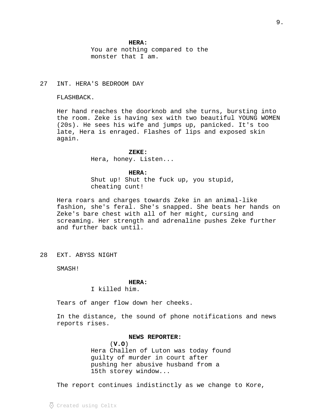# **HERA:**

You are nothing compared to the monster that I am.

# 27 INT. HERA'S BEDROOM DAY

FLASHBACK.

Her hand reaches the doorknob and she turns, bursting into the room. Zeke is having sex with two beautiful YOUNG WOMEN (20s). He sees his wife and jumps up, panicked. It's too late, Hera is enraged. Flashes of lips and exposed skin again.

#### **ZEKE:**

Hera, honey. Listen...

### **HERA:**

Shut up! Shut the fuck up, you stupid, cheating cunt!

Hera roars and charges towards Zeke in an animal-like fashion, she's feral. She's snapped. She beats her hands on Zeke's bare chest with all of her might, cursing and screaming. Her strength and adrenaline pushes Zeke further and further back until.

28 EXT. ABYSS NIGHT

SMASH!

#### **HERA:**

### I killed him.

Tears of anger flow down her cheeks.

In the distance, the sound of phone notifications and news reports rises.

### **NEWS REPORTER:**

( ) **V.O**  Hera Challen of Luton was today found guilty of murder in court after pushing her abusive husband from a 15th storey window...

The report continues indistinctly as we change to Kore,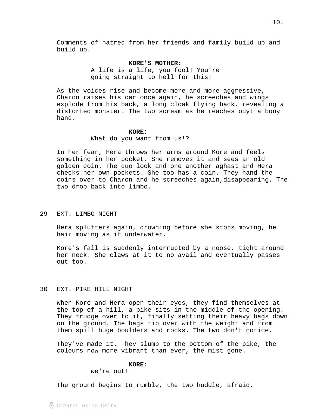Comments of hatred from her friends and family build up and build up.

### **KORE'S MOTHER:**

A life is a life, you fool! You're going straight to hell for this!

As the voices rise and become more and more aggressive, Charon raises his oar once again, he screeches and wings explode from his back, a long cloak flying back, revealing a distorted monster. The two scream as he reaches ouyt a bony hand.

#### **KORE:**

What do you want from us!?

In her fear, Hera throws her arms around Kore and feels something in her pocket. She removes it and sees an old golden coin. The duo look and one another aghast and Hera checks her own pockets. She too has a coin. They hand the coins over to Charon and he screeches again,disappearing. The two drop back into limbo.

# 29 EXT. LIMBO NIGHT

Hera splutters again, drowning before she stops moving, he hair moving as if underwater.

Kore's fall is suddenly interrupted by a noose, tight around her neck. She claws at it to no avail and eventually passes out too.

# 30 EXT. PIKE HILL NIGHT

When Kore and Hera open their eyes, they find themselves at the top of a hill, a pike sits in the middle of the opening. They trudge over to it, finally setting their heavy bags down on the ground. The bags tip over with the weight and from them spill huge boulders and rocks. The two don't notice.

They've made it. They slump to the bottom of the pike, the colours now more vibrant than ever, the mist gone.

# **KORE:**

we're out!

The ground begins to rumble, the two huddle, afraid.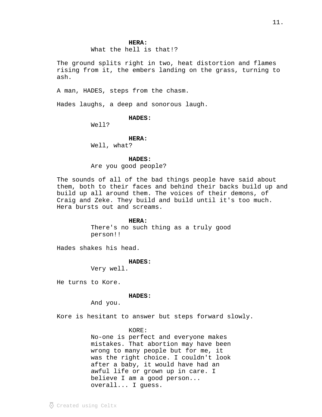#### **HERA:**

What the hell is that!?

The ground splits right in two, heat distortion and flames rising from it, the embers landing on the grass, turning to ash.

A man, HADES, steps from the chasm.

Hades laughs, a deep and sonorous laugh.

# **HADES:**

Well?

# **HERA:**

Well, what?

# **HADES:**

Are you good people?

The sounds of all of the bad things people have said about them, both to their faces and behind their backs build up and build up all around them. The voices of their demons, of Craig and Zeke. They build and build until it's too much. Hera bursts out and screams.

#### **HERA:**

There's no such thing as a truly good person!!

Hades shakes his head.

# **HADES:**

Very well.

He turns to Kore.

# **HADES:**

And you.

Kore is hesitant to answer but steps forward slowly.

# KORE:

No-one is perfect and everyone makes mistakes. That abortion may have been wrong to many people but for me, it was the right choice. I couldn't look after a baby, it would have had an awful life or grown up in care. I believe I am a good person... overall... I guess.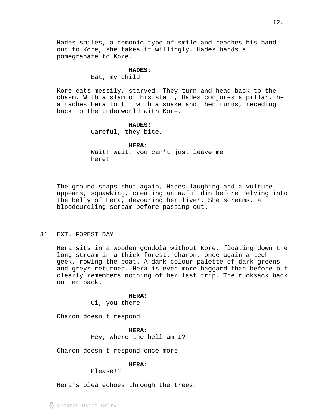Hades smiles, a demonic type of smile and reaches his hand out to Kore, she takes it willingly. Hades hands a pomegranate to Kore.

### **HADES:**

Eat, my child.

Kore eats messily, starved. They turn and head back to the chasm. With a slam of his staff, Hades conjures a pillar, he attaches Hera to tit with a snake and then turns, receding back to the underworld with Kore.

# **HADES:**

Careful, they bite.

# **HERA:**

Wait! Wait, you can't just leave me here!

The ground snaps shut again, Hades laughing and a vulture appears, squawking, creating an awful din before delving into the belly of Hera, devouring her liver. She screams, a bloodcurdling scream before passing out.

# 31 EXT. FOREST DAY

Hera sits in a wooden gondola without Kore, floating down the long stream in a thick forest. Charon, once again a tech geek, rowing the boat. A dank colour palette of dark greens and greys returned. Hera is even more haggard than before but clearly remembers nothing of her last trip. The rucksack back on her back.

#### **HERA:**

Oi, you there!

Charon doesn't respond

#### **HERA:**

Hey, where the hell am I?

Charon doesn't respond once more

# **HERA:**

Please!?

Hera's plea echoes through the trees.